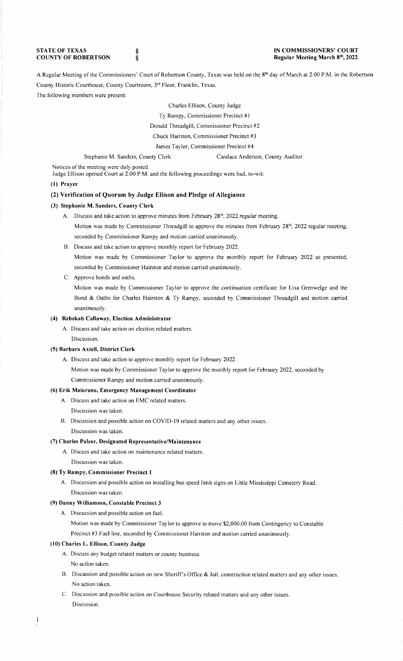**STATE OF TEXAS COUNTY OF ROBERTSON**  § §

## **IN COMMISSIONERS' COURT Regular Meeting March 81 \ 2022**

A Regular Meeting of the Commissioners' Court of Robertson County, Texas was held on the 8<sup>th</sup> day of March at 2:00 P.M. in the Robertson County Historic Courthouse, County Courtroom, 3rd Floor, Franklin, Texas.

The following members were present:

Charles Ellison, County Judge

Ty Rampy, Commissioner Precinct #1

Donald Threadgill, Commissioner Precinct #2

Chuck Hairston, Commissioner Precinct #3

James Taylor, Commissioner Precinct #4

Stephanie M. Sanders, County Clerk Candace Anderson, County Auditor

Notices of the meeting were duly posted.

Judge Ellison opened Court at 2:00 P.M. and the following proceedings were had, to-wit:

#### **(I) Prayer**

## **(2) Verification of Quorum by Judge Ellison and Pledge of Allegiance**

#### **(3) Stephanie M. Sanders, County Clerk**

- A. Discuss and take action to approve minutes from February 28<sup>th</sup>, 2022 regular meeting.
	- Motion was made by Commissioner Threadgill to approve the minutes from February 28<sup>th</sup>, 2022 regular meeting, seconded by Commissioner Rampy and motion carried unanimously.
	- 8. Discuss and take action to approve monthly report for February 2022.

Motion was made by Commissioner Taylor to approve the monthly report for February 2022 as presented, seconded by Commissioner Hairston and motion carried unanimously.

C. Approve bonds and oaths.

Motion was made by Commissioner Taylor to approve the continuation certificate for Lisa Grenwelge and the Bond & Oaths for Charles Hairston & Ty Rampy, seconded by Commissioner Threadgill and motion carried unanimously.

## **(4) Rebekah Callaway, Election Administrator**

A. Discuss and take action on election related matters.

Discussion.

## **(5) Barbara Axtell, District Clerk**

A. Discuss and take action to approve monthly report for February 2022.

Motion was made by Commissioner Taylor to approve the monthly report for February 2022, seconded by

Commissioner Rampy and motion carried unanimously.

# **(6) Erik Maiorano, Emergency Management Coordinator**

A. Discuss and take action on EMC related matters.

Discussion was taken.

8. Discussion and possible action on COVID-19 related matters and any other issues. Discussion was taken.

## (7) **Charles Paker, Designated Representative/Maintenance**

A. Discuss and take action on maintenance related matters.

Discussion was taken.

## **(8) Ty Rampy, Commissioner Precinct I**

A. Discussion and possible action on installing bus speed limit signs on Little Mississippi Cemetery Road. Discussion was taken.

#### **(9) Danny Williamson, Constable Precinct 3**

A. Discussion and possible action on fuel.

Motion was made by Commissioner Taylor to approve to move \$2,000.00 from Contingency to Constable Precinct #3 Fuel line, seconded by Commissioner Hairston and motion carried unanimously.

### **(10) Charles L. Ellison, County Judge**

A. Discuss any budget related matters or county business.

No action taken.

 $\mathbf{1}$ 

- 8. Discussion and possible action on new Sheriffs Office & Jail, construction related matters and any other issues. No action taken.
- C. Discussion and possible action on Courthouse Security related matters and any other issues. Discussion.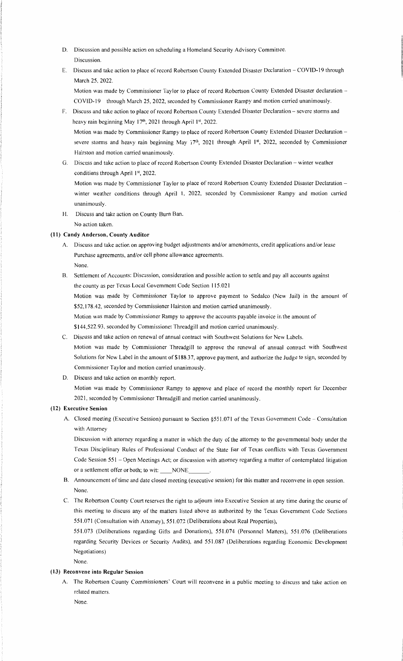- D. Discussion and possible action on scheduling a Homeland Security Advisory Committee. Discussion.
- E. Discuss and take action to place of record Robertson County Extended Disaster Declaration COVID-19 through March 25, 2022.

Motion was made by Commissioner Taylor to place of record Robertson County Extended Disaster declaration -COVID-19 through March 25, 2022, seconded by Commissioner Rampy and motion carried unanimously.

- F. Discuss and take action to place of record Robertson County Extended Disaster Declaration severe storms and heavy rain beginning May 17<sup>th</sup>, 2021 through April 1st, 2022. Motion was made by Commissioner Rampy to place of record Robertson County Extended Disaster Declaration severe storms and heavy rain beginning May 17<sup>th</sup>, 2021 through April 1<sup>st</sup>, 2022, seconded by Commissioner Hairston and motion carried unanimously.
- G. Discuss and take action to place of record Robertson County Extended Disaster Declaration winter weather conditions through April 1st, 2022.

Motion was made by Commissioner Taylor to place of record Robertson County Extended Disaster Declaration winter weather conditions through April 1, 2022, seconded by Commissioner Rampy and motion carried unanimously.

H. Discuss and take action on County Bum Ban. No action taken.

## **(11) Candy Anderson, County Auditor**

- A. Discuss and take action on approving budget adjustments and/or amendments, credit applications and/or lease Purchase agreements, and/or cell phone allowance agreements. None.
- B. Settlement of Accounts: Discussion, consideration and possible action to settle and pay all accounts against the county as per Texas Local Government Code Section 115.021

Motion was made by Commissioner Taylor to approve payment to Sedalco (New Jail) in the amount of \$52,178.42, seconded by Commissioner Hairston and motion carried unanimously.

Motion was made by Commissioner Rampy to approve the accounts payable invoice in the amount of

\$144,522.93, seconded by Commissioner Threadgill and motion carried unanimously.

C. Discuss and take action on renewal of annual contract with Southwest Solutions for New Labels.

Motion was made by Commissioner Threadgill to approve the renewal of annual contract with Southwest Solutions for New Label in the amount of \$188.37, approve payment, and authorize the Judge to sign, seconded by Commissioner Taylor and motion carried unanimously.

D. Discuss and take action on monthly report.

Motion was made by Commissioner Rampy to approve and place of record the monthly report for December 2021, seconded by Commissioner Threadgill and motion carried unanimously.

## **(12) Executive Session**

A. Closed meeting (Executive Session) pursuant to Section §551.071 of the Texas Government Code - Consultation with Attorney

Discussion with attorney regarding a matter in which the duty of the attorney to the governmental body under the Texas Disciplinary Rules of Professional Conduct of the State Bar of Texas conflicts with Texas Government Code Session 551 - Open Meetings Act; or discussion with attorney regarding a matter of contemplated litigation or a settlement offer or both; to wit: \_\_\_NONE

- B. Announcement of time and date closed meeting (executive session) for this matter and reconvene in open session. None.
- C. The Robertson County Court reserves the right to adjourn into Executive Session at any time during the course of this meeting to discuss any of the matters listed above as authorized by the Texas Government Code Sections 5 51. 071 ( Consultation with Attorney), 5 5 1.072 (Deliberations about Real Properties),

551.073 (Deliberations regarding Gifts and Donations), 551.074 (Personnel Matters), 551.076 (Deliberations regarding Security Devices or Security Audits), and 551.087 (Deliberations regarding Economic Development Negotiations)

None.

## **(13) Reconvene into Regular Session**

A. The Robertson County Commissioners' Court will reconvene in a public meeting to discuss and take action on related matters.

None.